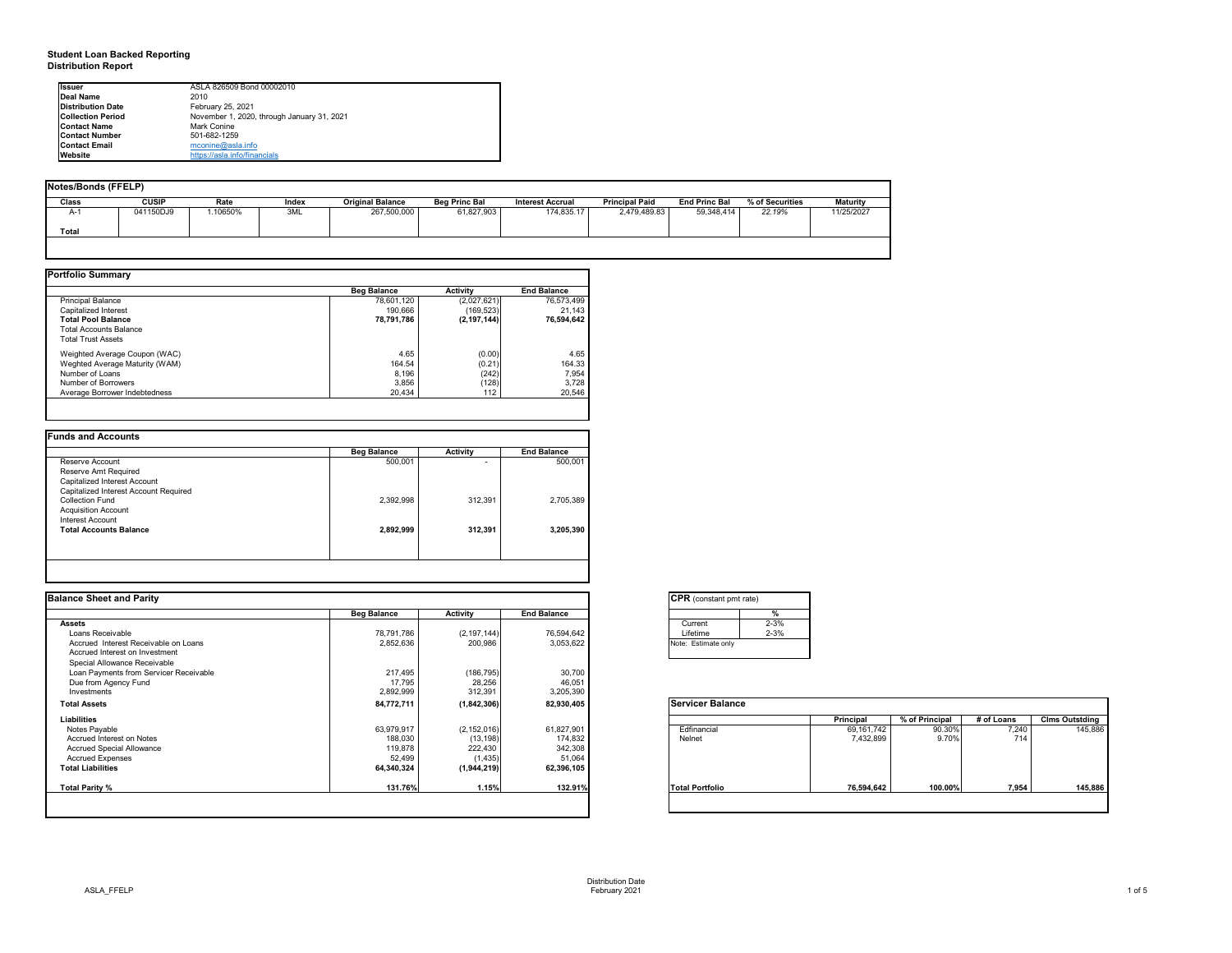## **Student Loan Backed Reporting Distribution Report**

### **Notes/Bonds (FFELP)**

| Notes/Bonds (FFELP) |              |         |              |                         |                      |                         |                       |                      |                 |                 |
|---------------------|--------------|---------|--------------|-------------------------|----------------------|-------------------------|-----------------------|----------------------|-----------------|-----------------|
| Class               | <b>CUSIP</b> | Rate    | <b>Index</b> | <b>Original Balance</b> | <b>Beg Princ Bal</b> | <b>Interest Accrual</b> | <b>Principal Paid</b> | <b>End Princ Bal</b> | % of Securities | <b>Maturity</b> |
| $A-1$               | 041150DJ9    | .10650% | 3ML          | 267,500,000             | 61,827,903           | 174,835.17              | 2,479,489.83          | 59,348,414           | 22.19%          | 11/25/2027      |
| <b>Total</b>        |              |         |              |                         |                      |                         |                       |                      |                 |                 |
|                     |              |         |              |                         |                      |                         |                       |                      |                 |                 |

|                                | <b>Beg Balance</b> | <b>Activity</b> | <b>End Balance</b> |
|--------------------------------|--------------------|-----------------|--------------------|
| <b>Principal Balance</b>       | 78,601,120         | (2,027,621)     | 76,573,499         |
| Capitalized Interest           | 190,666            | (169, 523)      | 21,143             |
| <b>Total Pool Balance</b>      | 78,791,786         | (2, 197, 144)   | 76,594,642         |
| <b>Total Accounts Balance</b>  |                    |                 |                    |
| <b>Total Trust Assets</b>      |                    |                 |                    |
| Weighted Average Coupon (WAC)  | 4.65               | (0.00)          | 4.65               |
| Weghted Average Maturity (WAM) | 164.54             | (0.21)          | 164.33             |
| Number of Loans                | 8,196              | (242)           | 7,954              |
| Number of Borrowers            | 3,856              | (128)           | 3,728              |
| Average Borrower Indebtedness  | 20,434             | 112             | 20,546             |

|                                       | <b>Beg Balance</b> | <b>Activity</b> | <b>End Balance</b> |
|---------------------------------------|--------------------|-----------------|--------------------|
| Reserve Account                       | 500,001            |                 | 500,001            |
| Reserve Amt Required                  |                    |                 |                    |
| <b>Capitalized Interest Account</b>   |                    |                 |                    |
| Capitalized Interest Account Required |                    |                 |                    |
| <b>Collection Fund</b>                | 2,392,998          | 312,391         | 2,705,389          |
| <b>Acquisition Account</b>            |                    |                 |                    |
| Interest Account                      |                    |                 |                    |
| <b>Total Accounts Balance</b>         | 2,892,999          | 312,391         | 3,205,390          |
|                                       |                    |                 |                    |
|                                       |                    |                 |                    |

| <b>I</b> lssuer          | ASLA 826509 Bond 00002010                  |  |
|--------------------------|--------------------------------------------|--|
| Deal Name                | 2010                                       |  |
| <b>Distribution Date</b> | February 25, 2021                          |  |
| <b>Collection Period</b> | November 1, 2020, through January 31, 2021 |  |
| <b>Contact Name</b>      | Mark Conine                                |  |
| <b>Contact Number</b>    | 501-682-1259                               |  |
| <b>Contact Email</b>     | mconine@asla.info                          |  |
| <b>Website</b>           | https://asla.info/financials               |  |

| <b>Balance Sheet and Parity</b>        |                    |                 |                    | <b>CPR</b> (constant pmt rate) |            |                |            |                       |
|----------------------------------------|--------------------|-----------------|--------------------|--------------------------------|------------|----------------|------------|-----------------------|
|                                        | <b>Beg Balance</b> | <b>Activity</b> | <b>End Balance</b> |                                |            |                |            |                       |
| <b>Assets</b>                          |                    |                 |                    | $2 - 3%$<br>Current            |            |                |            |                       |
| Loans Receivable                       | 78,791,786         | (2, 197, 144)   | 76,594,642         | $2 - 3%$<br>Lifetime           |            |                |            |                       |
| Accrued Interest Receivable on Loans   | 2,852,636          | 200,986         | 3,053,622          | Note: Estimate only            |            |                |            |                       |
| Accrued Interest on Investment         |                    |                 |                    |                                |            |                |            |                       |
| Special Allowance Receivable           |                    |                 |                    |                                |            |                |            |                       |
| Loan Payments from Servicer Receivable | 217,495            | (186, 795)      | 30,700             |                                |            |                |            |                       |
| Due from Agency Fund                   | 17,795             | 28,256          | 46,051             |                                |            |                |            |                       |
| Investments                            | 2,892,999          | 312,391         | 3,205,390          |                                |            |                |            |                       |
| <b>Total Assets</b>                    | 84,772,711         | (1,842,306)     | 82,930,405         | <b>Servicer Balance</b>        |            |                |            |                       |
| Liabilities                            |                    |                 |                    |                                | Principal  | % of Principal | # of Loans | <b>Clms Outstding</b> |
| Notes Payable                          | 63,979,917         | (2, 152, 016)   | 61,827,901         | Edfinancial                    | 69,161,742 | 90.30%         | 7,240      | 145,886               |
| Accrued Interest on Notes              | 188,030            | (13, 198)       | 174,832            | Nelnet                         | 7,432,899  | 9.70%          | 714        |                       |
| <b>Accrued Special Allowance</b>       | 119,878            | 222,430         | 342,308            |                                |            |                |            |                       |
| <b>Accrued Expenses</b>                | 52,499             | (1, 435)        | 51,064             |                                |            |                |            |                       |
| <b>Total Liabilities</b>               | 64,340,324         | (1,944,219)     | 62,396,105         |                                |            |                |            |                       |
| <b>Total Parity %</b>                  | 131.76%            | 1.15%           | 132.91%            | <b>Total Portfolio</b>         | 76,594,642 | 100.00%        | 7,954      | 145,886               |
|                                        |                    |                 |                    |                                |            |                |            |                       |

|                        | Principal  | $%$ of Principal | # of Loans | <b>Clms Outstding</b> |
|------------------------|------------|------------------|------------|-----------------------|
| Edfinancial            | 69,161,742 | 90.30%           | 7,240      | 145,886               |
| Nelnet                 | 7,432,899  | 9.70%            | 714        |                       |
| <b>Total Portfolio</b> | 76,594,642 | 100.00%          | 7,954      | 145,886               |

| onstant pmt rate) |          |  |  |  |  |  |  |
|-------------------|----------|--|--|--|--|--|--|
|                   | %        |  |  |  |  |  |  |
| nt.               | $2 - 3%$ |  |  |  |  |  |  |
| me                | $2 - 3%$ |  |  |  |  |  |  |
| timate only       |          |  |  |  |  |  |  |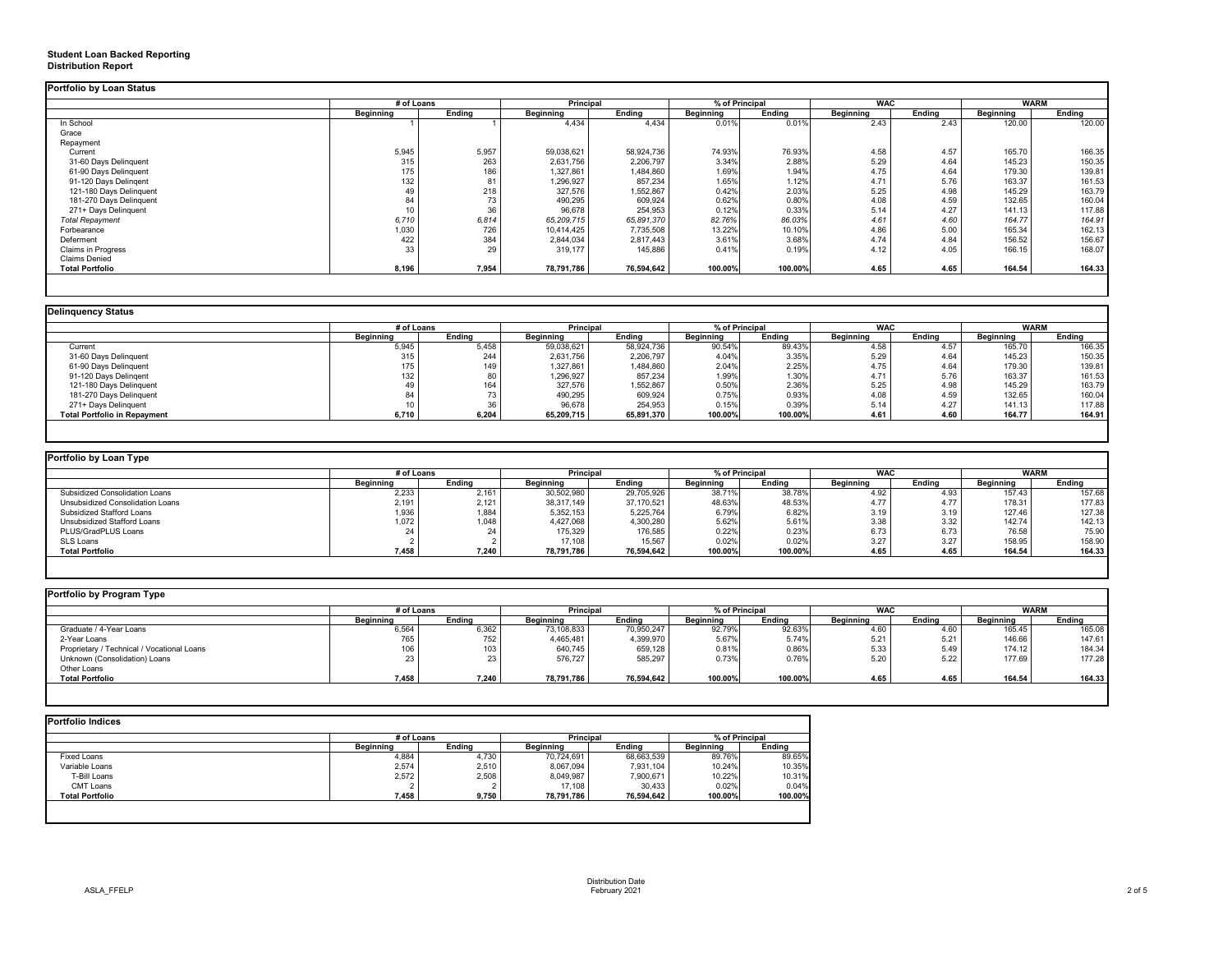## **Student Loan Backed Reporting Distribution Report**

|                           | # of Loans       |               | <b>Principal</b> |               | % of Principal   |               | <b>WAC</b>       |               | <b>WARM</b>      |        |
|---------------------------|------------------|---------------|------------------|---------------|------------------|---------------|------------------|---------------|------------------|--------|
|                           | <b>Beginning</b> | <b>Ending</b> | <b>Beginning</b> | <b>Ending</b> | <b>Beginning</b> | <b>Ending</b> | <b>Beginning</b> | <b>Ending</b> | <b>Beginning</b> | Ending |
| In School                 |                  |               | 4,434            | 4,434         | 0.01%            | 0.01%         | 2.43             | 2.43          | 120.00           | 120.00 |
| Grace                     |                  |               |                  |               |                  |               |                  |               |                  |        |
| Repayment                 |                  |               |                  |               |                  |               |                  |               |                  |        |
| Current                   | 5,945            | 5,957         | 59,038,621       | 58,924,736    | 74.93%           | 76.93%        | 4.58             | 4.57          | 165.70           | 166.35 |
| 31-60 Days Delinquent     | 315              | 263           | 2,631,756        | 2,206,797     | 3.34%            | 2.88%         | 5.29             | 4.64          | 145.23           | 150.35 |
| 61-90 Days Delinquent     | 175              | 186           | 1,327,861        | 1,484,860     | 1.69%            | 1.94%         | 4.75             | 4.64          | 179.30           | 139.81 |
| 91-120 Days Delingent     | 132              | 81            | 1,296,927        | 857,234       | 1.65%            | 1.12%         | 4.71             | 5.76          | 163.37           | 161.53 |
| 121-180 Days Delinquent   | 49               | 218           | 327,576          | 1,552,867     | 0.42%            | 2.03%         | 5.25             | 4.98          | 145.29           | 163.79 |
| 181-270 Days Delinquent   | 84               | 73            | 490,295          | 609,924       | 0.62%            | 0.80%         | 4.08             | 4.59          | 132.65           | 160.04 |
| 271+ Days Delinquent      | 10 <sub>1</sub>  | 36            | 96,678           | 254,953       | 0.12%            | 0.33%         | 5.14             | 4.27          | 141.13           | 117.88 |
| <b>Total Repayment</b>    | 6,710            | 6,814         | 65,209,715       | 65,891,370    | 82.76%           | 86.03%        | 4.61             | 4.60          | 164.77           | 164.91 |
| Forbearance               | 1,030            | 726           | 10,414,425       | 7,735,508     | 13.22%           | 10.10%        | 4.86             | 5.00          | 165.34           | 162.13 |
| Deferment                 | 422              | 384           | 2,844,034        | 2,817,443     | 3.61%            | 3.68%         | 4.74             | 4.84          | 156.52           | 156.67 |
| <b>Claims in Progress</b> | 33               | 29            | 319,177          | 145,886       | 0.41%            | 0.19%         | 4.12             | 4.05          | 166.15           | 168.07 |
| <b>Claims Denied</b>      |                  |               |                  |               |                  |               |                  |               |                  |        |
| <b>Total Portfolio</b>    | 8,196            | 7,954         | 78,791,786       | 76,594,642    | 100.00%          | 100.00%       | 4.65             | 4.65          | 164.54           | 164.33 |

| <b>Delinquency Status</b>           |                  |               |                  |               |                  |         |                  |               |                  |               |
|-------------------------------------|------------------|---------------|------------------|---------------|------------------|---------|------------------|---------------|------------------|---------------|
|                                     | # of Loans       |               | <b>Principal</b> |               | % of Principal   |         | <b>WAC</b>       |               | <b>WARM</b>      |               |
|                                     | <b>Beginning</b> | <b>Ending</b> | <b>Beginning</b> | <b>Ending</b> | <b>Beginning</b> | Ending  | <b>Beginning</b> | <b>Ending</b> | <b>Beginning</b> | <b>Ending</b> |
| Current                             | 5,945            | 5,458         | 59,038,621       | 58,924,736    | 90.54%           | 89.43%  | 4.58             | 4.57          | 165.70           | 166.35        |
| 31-60 Days Delinquent               | 315              | 244           | 2,631,756        | 2,206,797     | 4.04%            | 3.35%   | 5.29             | 4.64          | 145.23           | 150.35        |
| 61-90 Days Delinquent               | 175              | 149           | 1,327,861        | 1,484,860     | 2.04%            | 2.25%   | 4.75             | 4.64          | 179.30           | 139.81        |
| 91-120 Days Delingent               | 132              |               | 1,296,927        | 857,234       | 1.99%            | 1.30%   | 4.71             | 5.76          | 163.37           | 161.53        |
| 121-180 Days Delinquent             |                  | 164           | 327,576          | 1,552,867     | 0.50%            | 2.36%   | 5.25             | 4.98          | 145.29           | 163.79        |
| 181-270 Days Delinquent             |                  |               | 490,295          | 609,924       | 0.75%            | 0.93%   | 4.08             | 4.59          | 132.65           | 160.04        |
| 271+ Days Delinquent                |                  |               | 96,678           | 254,953       | 0.15%            | 0.39%   | 5.14             | 4.27          | 141.13           | 117.88        |
| <b>Total Portfolio in Repayment</b> | 6,710            | 6,204         | 65,209,715       | 65,891,370    | 100.00%          | 100.00% | 4.61             | 4.60          | 164.77           | 164.91        |
|                                     |                  |               |                  |               |                  |         |                  |               |                  |               |

| Portfolio by Loan Type                |                  |               |                  |               |                  |         |                  |        |                  |               |
|---------------------------------------|------------------|---------------|------------------|---------------|------------------|---------|------------------|--------|------------------|---------------|
|                                       | # of Loans       |               | <b>Principal</b> |               | % of Principal   |         | <b>WAC</b>       |        | <b>WARM</b>      |               |
|                                       | <b>Beginning</b> | <b>Ending</b> | <b>Beginning</b> | <b>Ending</b> | <b>Beginning</b> | Ending  | <b>Beginning</b> | Ending | <b>Beginning</b> | <b>Ending</b> |
| <b>Subsidized Consolidation Loans</b> | 2,233            | 2,161         | 30,502,980       | 29,705,926    | 38.71%           | 38.78%  | 4.92             | 4.93   | 157.43           | 157.68        |
| Unsubsidized Consolidation Loans      | 2,191            | 2,121         | 38,317,149       | 37,170,521    | 48.63%           | 48.53%  | 4.77             | 4.77   | 178.31           | 177.83        |
| <b>Subsidized Stafford Loans</b>      | 1,936            | 1,884         | 5,352,153        | 5,225,764     | 6.79%            | 6.82%   | 3.19             | 3.19   | 127.46           | 127.38        |
| Unsubsidized Stafford Loans           | 1,072            | .048          | 4,427,068        | 4,300,280     | 5.62%            | 5.61%   | 3.38             | 3.32   | 142.74           | 142.13        |
| PLUS/GradPLUS Loans                   | 24               |               | 175,329          | 176,585       | 0.22%            | 0.23%   | 6.73             | 6.73   | 76.58            | 75.90         |
| SLS Loans                             |                  |               | 17,108           | 15,567        | 0.02%            | 0.02%   | 3.27             | 3.27   | 158.95           | 158.90        |
| <b>Total Portfolio</b>                | 7,458            | 7,240         | 78,791,786       | 76,594,642    | 100.00%          | 100.00% | 4.65             | 4.65   | 164.54           | 164.33        |
|                                       |                  |               |                  |               |                  |         |                  |        |                  |               |

|                                            |                  | # of Loans    |                  | % of Principal<br><b>Principal</b> |                  |               | <b>WAC</b>       |               | <b>WARM</b>      |               |
|--------------------------------------------|------------------|---------------|------------------|------------------------------------|------------------|---------------|------------------|---------------|------------------|---------------|
|                                            | <b>Beginning</b> | <b>Ending</b> | <b>Beginning</b> | <b>Ending</b>                      | <b>Beginning</b> | <b>Ending</b> | <b>Beginning</b> | <b>Ending</b> | <b>Beginning</b> | <b>Ending</b> |
| Graduate / 4-Year Loans                    | 6,564            | 6,362         | 73,108,833       | 70,950,247                         | 92.79%           | 92.63%        | 4.60             | 4.60          | 165.45           | 165.08        |
| 2-Year Loans                               | 765              | 752           | 4,465,481        | 4,399,970                          | 5.67%            | 5.74%         | 5.21             | 5.21          | 146.66           | 147.61        |
| Proprietary / Technical / Vocational Loans | 106              | 103           | 640,745          | 659,128                            | 0.81%            | 0.86%         | 5.33             | 5.49          | 174.12           | 184.34        |
| Unknown (Consolidation) Loans              |                  | 23            | 576,727          | 585,297                            | 0.73%            | 0.76%         | 5.20             | 5.22          | 177.69           | 177.28        |
| <b>Other Loans</b>                         |                  |               |                  |                                    |                  |               |                  |               |                  |               |
| <b>Total Portfolio</b>                     | 7,458            | 7,240         | 78,791,786       | 76,594,642                         | 100.00%          | 100.00%       | 4.65             | 4.65          | 164.54           | 164.33        |

|                        | # of Loans       |               | <b>Principal</b> |               | % of Principal   |               |  |
|------------------------|------------------|---------------|------------------|---------------|------------------|---------------|--|
|                        | <b>Beginning</b> | <b>Ending</b> | <b>Beginning</b> | <b>Ending</b> | <b>Beginning</b> | <b>Ending</b> |  |
| <b>Fixed Loans</b>     | 4,884            | 4,730         | 70,724,691       | 68,663,539    | 89.76%           | 89.65%        |  |
| Variable Loans         | 2,574            | 2,510         | 8,067,094        | 7,931,104     | 10.24%           | 10.35%        |  |
| T-Bill Loans           | 2,572            | 2,508         | 8,049,987        | 7,900,671     | 10.22%           | 10.31%        |  |
| <b>CMT Loans</b>       |                  |               | 17,108           | 30,433        | 0.02%            | 0.04%         |  |
| <b>Total Portfolio</b> | 7,458            | 9,750         | 78,791,786       | 76,594,642    | 100.00%          | 100.00%       |  |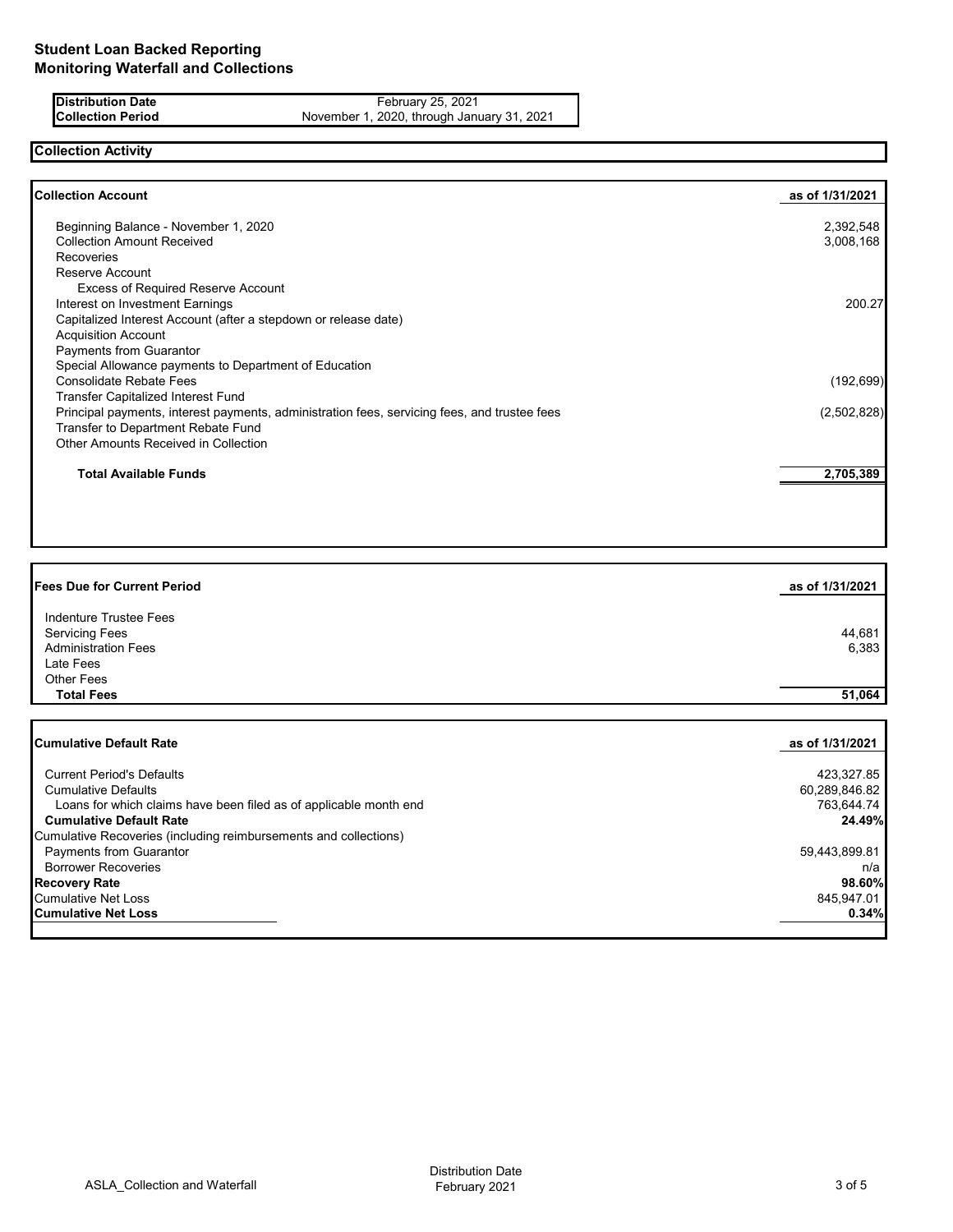**Distribution Date** February 25, 2021<br>**Collection Period Collection Period Research Prior Collection Period** November 1, 2020, through January 31, 2021

## **Collection Activity**

| <b>Collection Account</b>                                                                    | as of 1/31/2021 |
|----------------------------------------------------------------------------------------------|-----------------|
| Beginning Balance - November 1, 2020                                                         | 2,392,548       |
| <b>Collection Amount Received</b>                                                            | 3,008,168       |
| <b>Recoveries</b>                                                                            |                 |
| Reserve Account                                                                              |                 |
| <b>Excess of Required Reserve Account</b>                                                    |                 |
| Interest on Investment Earnings                                                              | 200.27          |
| Capitalized Interest Account (after a stepdown or release date)                              |                 |
| <b>Acquisition Account</b>                                                                   |                 |
| <b>Payments from Guarantor</b>                                                               |                 |
| Special Allowance payments to Department of Education                                        |                 |
| <b>Consolidate Rebate Fees</b>                                                               | (192, 699)      |
| <b>Transfer Capitalized Interest Fund</b>                                                    |                 |
| Principal payments, interest payments, administration fees, servicing fees, and trustee fees | (2,502,828)     |
| Transfer to Department Rebate Fund                                                           |                 |
| <b>Other Amounts Received in Collection</b>                                                  |                 |
| <b>Total Available Funds</b>                                                                 | 2,705,389       |

| <b>Fees Due for Current Period</b>                                | as of 1/31/2021 |
|-------------------------------------------------------------------|-----------------|
| Indenture Trustee Fees                                            |                 |
| <b>Servicing Fees</b>                                             | 44,681          |
| <b>Administration Fees</b>                                        | 6,383           |
| Late Fees                                                         |                 |
| <b>Other Fees</b>                                                 |                 |
| <b>Total Fees</b>                                                 | 51,064          |
|                                                                   |                 |
| <b>Cumulative Default Rate</b>                                    | as of 1/31/2021 |
| <b>Current Period's Defaults</b>                                  | 423,327.85      |
| <b>Cumulative Defaults</b>                                        | 60,289,846.82   |
| Loans for which claims have been filed as of applicable month end | 763,644.74      |
| <b>Cumulative Default Rate</b>                                    | 24.49%          |
| Cumulative Recoveries (including reimbursements and collections)  |                 |

Payments from Guarantor Controller Controller Controller Controller Controller Controller Controller Controller<br>Borrower Recoveries h/a Borrower Recoveries n/a **Recovery Rate 98.60%** Cumulative Net Loss 845,947.01<br> **Cumulative Net Loss 845,947.01**<br>
845,947.01 **Cumulative Net Loss**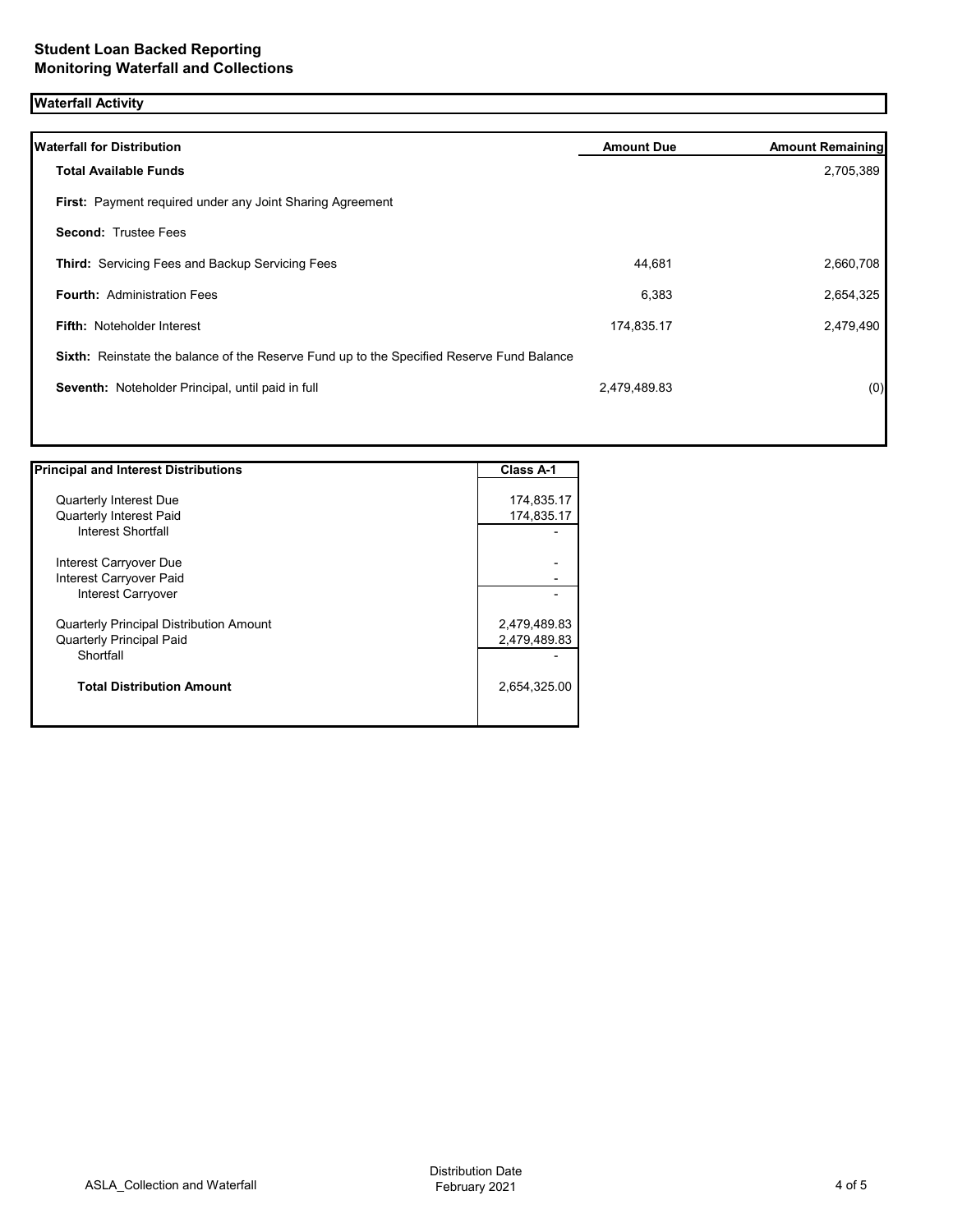# **Waterfall Activity**

| <b>Waterfall for Distribution</b>                                                         | <b>Amount Due</b> | <b>Amount Remaining</b> |
|-------------------------------------------------------------------------------------------|-------------------|-------------------------|
| <b>Total Available Funds</b>                                                              |                   | 2,705,389               |
| First: Payment required under any Joint Sharing Agreement                                 |                   |                         |
| <b>Second: Trustee Fees</b>                                                               |                   |                         |
| Third: Servicing Fees and Backup Servicing Fees                                           | 44,681            | 2,660,708               |
| <b>Fourth: Administration Fees</b>                                                        | 6,383             | 2,654,325               |
| <b>Fifth: Noteholder Interest</b>                                                         | 174,835.17        | 2,479,490               |
| Sixth: Reinstate the balance of the Reserve Fund up to the Specified Reserve Fund Balance |                   |                         |
| Seventh: Noteholder Principal, until paid in full                                         | 2,479,489.83      | (0)                     |
|                                                                                           |                   |                         |
|                                                                                           |                   |                         |

| <b>Principal and Interest Distributions</b>    | Class A-1    |
|------------------------------------------------|--------------|
|                                                |              |
| <b>Quarterly Interest Due</b>                  | 174,835.17   |
| <b>Quarterly Interest Paid</b>                 | 174,835.17   |
| Interest Shortfall                             |              |
| Interest Carryover Due                         |              |
| Interest Carryover Paid                        |              |
| Interest Carryover                             |              |
| <b>Quarterly Principal Distribution Amount</b> | 2,479,489.83 |
| <b>Quarterly Principal Paid</b>                | 2,479,489.83 |
| Shortfall                                      |              |
| <b>Total Distribution Amount</b>               | 2,654,325.00 |
|                                                |              |

 $\overline{\phantom{a}}$